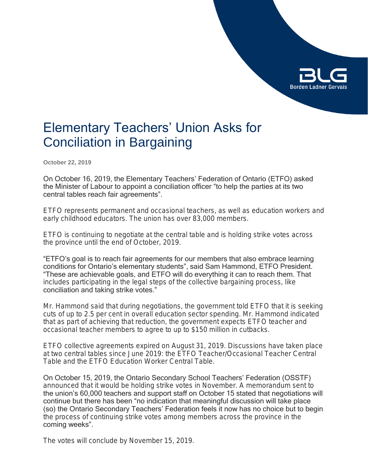

# Elementary Teachers' Union Asks for Conciliation in Bargaining

**October 22, 2019**

On October 16, 2019, the Elementary Teachers' Federation of Ontario (ETFO) asked the Minister of Labour to appoint a conciliation officer "to help the parties at its two central tables reach fair agreements".

ETFO represents permanent and occasional teachers, as well as education workers and early childhood educators. The union has over 83,000 members.

ETFO is continuing to negotiate at the central table and is holding strike votes across the province until the end of October, 2019.

"ETFO's goal is to reach fair agreements for our members that also embrace learning conditions for Ontario's elementary students", said Sam Hammond, ETFO President. "These are achievable goals, and ETFO will do everything it can to reach them. That includes participating in the legal steps of the collective bargaining process, like conciliation and taking strike votes."

Mr. Hammond said that during negotiations, the government told ETFO that it is seeking cuts of up to 2.5 per cent in overall education sector spending. Mr. Hammond indicated that as part of achieving that reduction, the government expects ETFO teacher and occasional teacher members to agree to up to \$150 million in cutbacks.

ETFO collective agreements expired on August 31, 2019. Discussions have taken place at two central tables since June 2019: the ETFO Teacher/Occasional Teacher Central Table and the ETFO Education Worker Central Table.

On October 15, 2019, the Ontario Secondary School Teachers' Federation (OSSTF) announced that it would be holding strike votes in November. A memorandum sent to the union's 60,000 teachers and support staff on October 15 stated that negotiations will continue but there has been "no indication that meaningful discussion will take place (so) the Ontario Secondary Teachers' Federation feels it now has no choice but to begin the process of continuing strike votes among members across the province in the coming weeks".

The votes will conclude by November 15, 2019.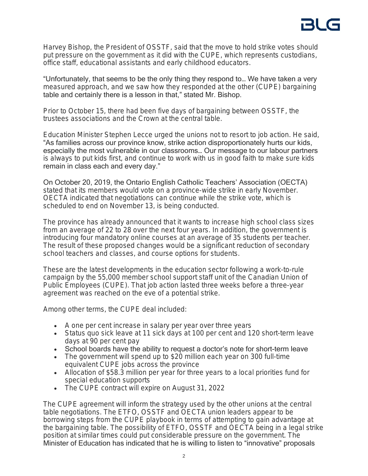Harvey Bishop, the President of OSSTF, said that the move to hold strike votes should put pressure on the government as it did with the CUPE, which represents custodians, office staff, educational assistants and early childhood educators.

"Unfortunately, that seems to be the only thing they respond to… We have taken a very measured approach, and we saw how they responded at the other (CUPE) bargaining table and certainly there is a lesson in that," stated Mr. Bishop.

Prior to October 15, there had been five days of bargaining between OSSTF, the trustees associations and the Crown at the central table.

Education Minister Stephen Lecce urged the unions not to resort to job action. He said, "As families across our province know, strike action disproportionately hurts our kids, especially the most vulnerable in our classrooms… Our message to our labour partners is always to put kids first, and continue to work with us in good faith to make sure kids remain in class each and every day."

On October 20, 2019, the Ontario English Catholic Teachers' Association (OECTA) stated that its members would vote on a province-wide strike in early November. OECTA indicated that negotiations can continue while the strike vote, which is scheduled to end on November 13, is being conducted.

The province has already announced that it wants to increase high school class sizes from an average of 22 to 28 over the next four years. In addition, the government is introducing four mandatory online courses at an average of 35 students per teacher. The result of these proposed changes would be a significant reduction of secondary school teachers and classes, and course options for students.

These are the latest developments in the education sector following a work-to-rule campaign by the 55,000 member school support staff unit of the Canadian Union of Public Employees (CUPE). That job action lasted three weeks before a three-year agreement was reached on the eve of a potential strike.

Among other terms, the CUPE deal included:

- A one per cent increase in salary per year over three years
- *Status quo* sick leave at 11 sick days at 100 per cent and 120 short-term leave days at 90 per cent pay
- School boards have the ability to request a doctor's note for short-term leave
- The government will spend up to \$20 million each year on 300 full-time equivalent CUPE jobs across the province
- Allocation of \$58.3 million per year for three years to a local priorities fund for special education supports
- The CUPE contract will expire on August 31, 2022

The CUPE agreement will inform the strategy used by the other unions at the central table negotiations. The ETFO, OSSTF and OECTA union leaders appear to be borrowing steps from the CUPE playbook in terms of attempting to gain advantage at the bargaining table. The possibility of ETFO, OSSTF and OECTA being in a legal strike position at similar times could put considerable pressure on the government. The Minister of Education has indicated that he is willing to listen to "innovative" proposals